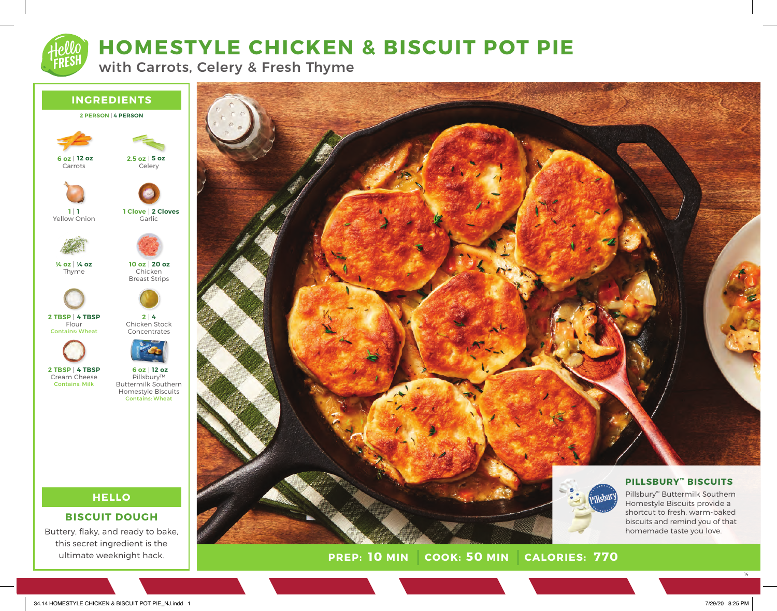# **HOMESTYLE CHICKEN & BISCUIT POT PIE**

with Carrots, Celery & Fresh Thyme



this secret ingredient is the ultimate weeknight hack.



**PREP: 10 MIN COOK: 50 MIN 10 MINUS: 770** 

homemade taste you love.

14